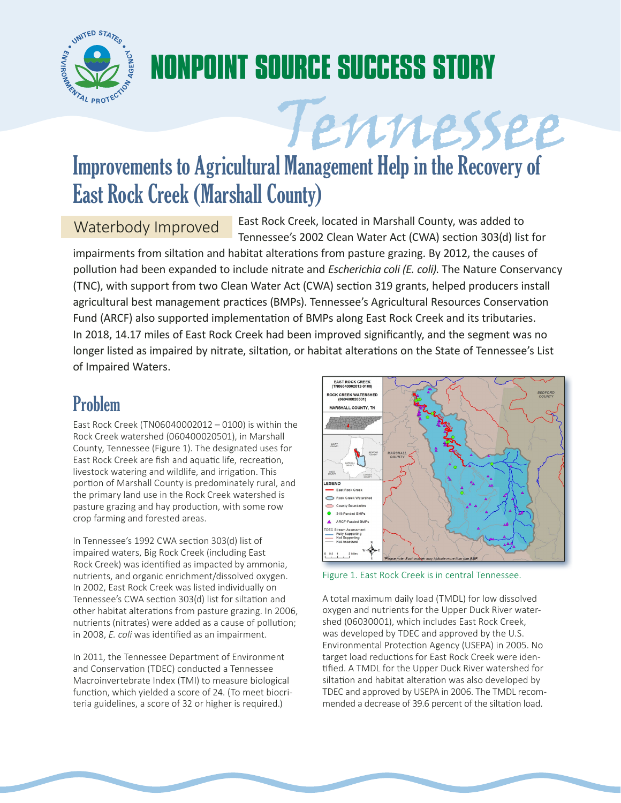

# **NONPOINT SOURCE SUCCESS STORY**

## Improvements to Agricultural Management Help in the Recovery of East Rock Creek (Marshall County)

Waterbody Improved East Rock Creek, located in Marshall County, was added to Tennessee's 2002 Clean Water Act (CWA) section 303(d) list for

Tennessee

impairments from siltation and habitat alterations from pasture grazing. By 2012, the causes of pollution had been expanded to include nitrate and *Escherichia coli (E. coli)*. The Nature Conservancy (TNC), with support from two Clean Water Act (CWA) section 319 grants, helped producers install agricultural best management practices (BMPs). Tennessee's Agricultural Resources Conservation Fund (ARCF) also supported implementation of BMPs along East Rock Creek and its tributaries. In 2018, 14.17 miles of East Rock Creek had been improved significantly, and the segment was no longer listed as impaired by nitrate, siltation, or habitat alterations on the State of Tennessee's List of Impaired Waters.

### Problem

East Rock Creek (TN06040002012 – 0100) is within the Rock Creek watershed (060400020501), in Marshall County, Tennessee (Figure 1). The designated uses for East Rock Creek are fish and aquatic life, recreation, livestock watering and wildlife, and irrigation. This portion of Marshall County is predominately rural, and the primary land use in the Rock Creek watershed is pasture grazing and hay production, with some row crop farming and forested areas.

In Tennessee's 1992 CWA section 303(d) list of impaired waters, Big Rock Creek (including East Rock Creek) was identified as impacted by ammonia, nutrients, and organic enrichment/dissolved oxygen. In 2002, East Rock Creek was listed individually on Tennessee's CWA section 303(d) list for siltation and other habitat alterations from pasture grazing. In 2006, nutrients (nitrates) were added as a cause of pollution; in 2008, *E. coli* was identified as an impairment.

In 2011, the Tennessee Department of Environment and Conservation (TDEC) conducted a Tennessee Macroinvertebrate Index (TMI) to measure biological function, which yielded a score of 24. (To meet biocriteria guidelines, a score of 32 or higher is required.)



Figure 1. East Rock Creek is in central Tennessee.

A total maximum daily load (TMDL) for low dissolved oxygen and nutrients for the Upper Duck River watershed (06030001), which includes East Rock Creek, was developed by TDEC and approved by the U.S. Environmental Protection Agency (USEPA) in 2005. No target load reductions for East Rock Creek were identified. A TMDL for the Upper Duck River watershed for siltation and habitat alteration was also developed by TDEC and approved by USEPA in 2006. The TMDL recommended a decrease of 39.6 percent of the siltation load.